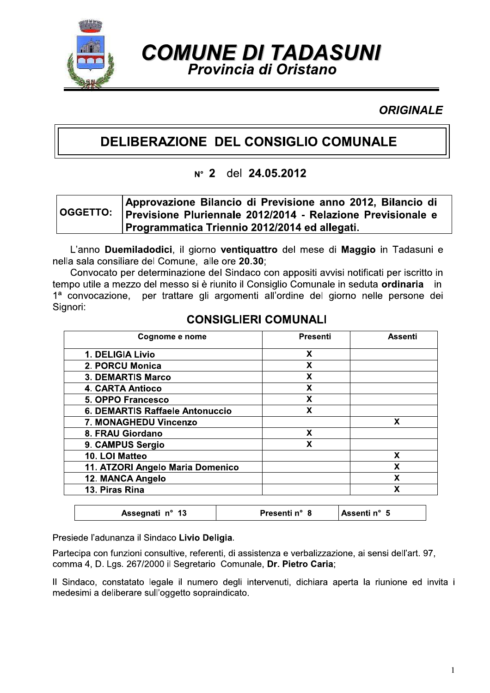

**COMUNE DI TADASUNI** Provincia di Oristano

**ORIGINALE** 

# DELIBERAZIONE DEL CONSIGLIO COMUNALE

#### del 24.05.2012  $N^{\circ}$  2

#### Approvazione Bilancio di Previsione anno 2012, Bilancio di **OGGETTO:** Previsione Pluriennale 2012/2014 - Relazione Previsionale e Programmatica Triennio 2012/2014 ed allegati.

L'anno Duemiladodici, il giorno ventiquattro del mese di Maggio in Tadasuni e nella sala consiliare del Comune, alle ore 20.30;

Convocato per determinazione del Sindaco con appositi avvisi notificati per iscritto in tempo utile a mezzo del messo si è riunito il Consiglio Comunale in seduta ordinaria in per trattare gli argomenti all'ordine del giorno nelle persone dei  $1<sup>a</sup>$  convocazione. Sianori:

| Cognome e nome                   | <b>Presenti</b> | Assenti |
|----------------------------------|-----------------|---------|
| 1. DELIGIA Livio                 | X               |         |
| 2. PORCU Monica                  | X               |         |
| <b>3. DEMARTIS Marco</b>         | x               |         |
| <b>4. CARTA Antioco</b>          | x               |         |
| 5. OPPO Francesco                | X               |         |
| 6. DEMARTIS Raffaele Antonuccio  | X               |         |
| 7. MONAGHEDU Vincenzo            |                 | X       |
| 8. FRAU Giordano                 | X               |         |
| 9. CAMPUS Sergio                 | X               |         |
| 10. LOI Matteo                   |                 | x       |
| 11. ATZORI Angelo Maria Domenico |                 | χ       |
| 12. MANCA Angelo                 |                 | X       |
| 13. Piras Rina                   |                 | χ       |

### **CONSIGLIERI COMUNALI**

Presiede l'adunanza il Sindaco Livio Deligia.

Assegnati nº 13

Partecipa con funzioni consultive, referenti, di assistenza e verbalizzazione, ai sensi dell'art. 97, comma 4, D. Lgs. 267/2000 il Segretario Comunale, Dr. Pietro Caria;

Il Sindaco, constatato legale il numero degli intervenuti, dichiara aperta la riunione ed invita i medesimi a deliberare sull'oggetto sopraindicato.

Presenti n° 8

Assenti n° 5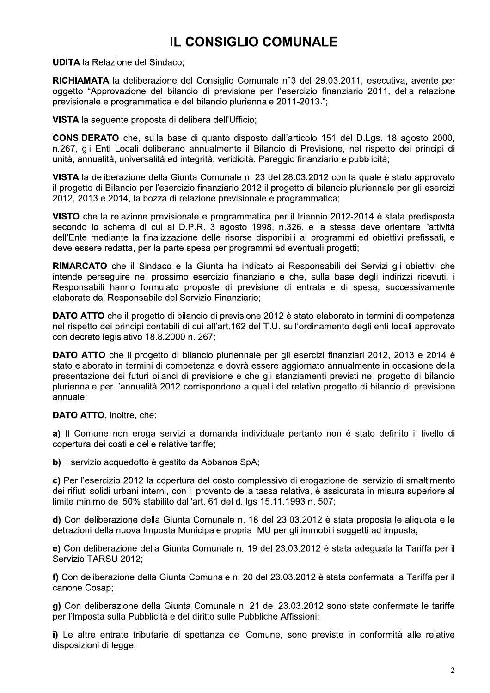# **IL CONSIGLIO COMUNALE**

**UDITA la Relazione del Sindaco:** 

**RICHIAMATA** la deliberazione del Consiglio Comunale n°3 del 29.03.2011, esecutiva, avente per oggetto "Approvazione del bilancio di previsione per l'esercizio finanziario 2011, della relazione previsionale e programmatica e del bilancio pluriennale 2011-2013.";

VISTA la sequente proposta di delibera dell'Ufficio;

**CONSIDERATO** che, sulla base di quanto disposto dall'articolo 151 del D.Lgs. 18 agosto 2000, n.267, gli Enti Locali deliberano annualmente il Bilancio di Previsione, nel rispetto dei principi di unità, annualità, universalità ed integrità, veridicità. Pareggio finanziario e pubblicità;

VISTA la deliberazione della Giunta Comunale n. 23 del 28.03.2012 con la quale è stato approvato il progetto di Bilancio per l'esercizio finanziario 2012 il progetto di bilancio pluriennale per gli esercizi 2012, 2013 e 2014, la bozza di relazione previsionale e programmatica;

VISTO che la relazione previsionale e programmatica per il triennio 2012-2014 è stata predisposta secondo lo schema di cui al D.P.R. 3 agosto 1998, n.326, e la stessa deve orientare l'attività dell'Ente mediante la finalizzazione delle risorse disponibili ai programmi ed obiettivi prefissati, e deve essere redatta, per la parte spesa per programmi ed eventuali progetti;

RIMARCATO che il Sindaco e la Giunta ha indicato ai Responsabili dei Servizi gli obiettivi che intende perseguire nel prossimo esercizio finanziario e che, sulla base degli indirizzi ricevuti, i Responsabili hanno formulato proposte di previsione di entrata e di spesa, successivamente elaborate dal Responsabile del Servizio Finanziario;

DATO ATTO che il progetto di bilancio di previsione 2012 è stato elaborato in termini di competenza nel rispetto dei principi contabili di cui all'art.162 del T.U. sull'ordinamento degli enti locali approvato con decreto legislativo 18.8.2000 n. 267;

DATO ATTO che il progetto di bilancio pluriennale per gli esercizi finanziari 2012, 2013 e 2014 è stato elaborato in termini di competenza e dovrà essere aggiornato annualmente in occasione della presentazione dei futuri bilanci di previsione e che gli stanziamenti previsti nel progetto di bilancio pluriennale per l'annualità 2012 corrispondono a quelli del relativo progetto di bilancio di previsione annuale;

DATO ATTO, inoltre, che:

a) Il Comune non eroga servizi a domanda individuale pertanto non è stato definito il livello di copertura dei costi e delle relative tariffe;

b) Il servizio acquedotto è gestito da Abbanoa SpA;

c) Per l'esercizio 2012 la copertura del costo complessivo di erogazione del servizio di smaltimento dei rifiuti solidi urbani interni, con il provento della tassa relativa, è assicurata in misura superiore al limite minimo del 50% stabilito dall'art. 61 del d. las 15.11.1993 n. 507:

d) Con deliberazione della Giunta Comunale n. 18 del 23.03.2012 è stata proposta le aliguota e le detrazioni della nuova Imposta Municipale propria IMU per gli immobili soggetti ad imposta:

e) Con deliberazione della Giunta Comunale n. 19 del 23.03.2012 è stata adeguata la Tariffa per il Servizio TARSU 2012:

f) Con deliberazione della Giunta Comunale n. 20 del 23.03.2012 è stata confermata la Tariffa per il canone Cosap;

g) Con deliberazione della Giunta Comunale n. 21 del 23.03.2012 sono state confermate le tariffe per l'Imposta sulla Pubblicità e del diritto sulle Pubbliche Affissioni;

i) Le altre entrate tributarie di spettanza del Comune, sono previste in conformità alle relative disposizioni di legge: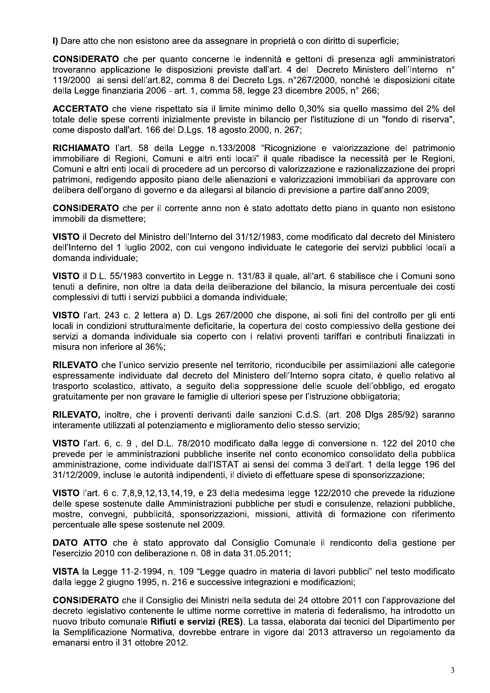I) Dare atto che non esistono aree da assegnare in proprietà o con diritto di superficie;

CONSIDERATO che per quanto concerne le indennità e gettoni di presenza agli amministratori troveranno applicazione le disposizioni previste dall'art. 4 del Decreto Ministero dell'Interno n° 119/2000 ai sensi dell'art.82, comma 8 del Decreto Lgs. n°267/2000, nonché le disposizioni citate della Legge finanziaria 2006 - art. 1, comma 58, legge 23 dicembre 2005, n° 266;

**ACCERTATO** che viene rispettato sia il limite minimo dello 0.30% sia quello massimo del 2% del totale delle spese correnti inizialmente previste in bilancio per l'istituzione di un "fondo di riserva", come disposto dall'art. 166 del D.Lgs. 18 agosto 2000, n. 267;

RICHIAMATO l'art. 58 della Legge n.133/2008 "Ricognizione e valorizzazione del patrimonio immobiliare di Regioni, Comuni e altri enti locali" il quale ribadisce la necessità per le Regioni, Comuni e altri enti locali di procedere ad un percorso di valorizzazione e razionalizzazione dei propri patrimoni, redigendo apposito piano delle alienazioni e valorizzazioni immobiliari da approvare con delibera dell'organo di governo e da allegarsi al bilancio di previsione a partire dall'anno 2009;

**CONSIDERATO** che per il corrente anno non è stato adottato detto piano in quanto non esistono immobili da dismettere:

VISTO il Decreto del Ministro dell'Interno del 31/12/1983, come modificato dal decreto del Ministero dell'Interno del 1 luglio 2002, con cui vengono individuate le categorie dei servizi pubblici locali a domanda individuale:

VISTO il D.L. 55/1983 convertito in Legge n. 131/83 il guale, all'art. 6 stabilisce che i Comuni sono tenuti a definire, non oltre la data della deliberazione del bilancio, la misura percentuale dei costi complessivi di tutti i servizi pubblici a domanda individuale;

VISTO l'art. 243 c. 2 lettera a) D. Lgs 267/2000 che dispone, ai soli fini del controllo per gli enti locali in condizioni strutturalmente deficitarie, la copertura del costo complessivo della gestione dei servizi a domanda individuale sia coperto con i relativi proventi tariffari e contributi finalizzati in misura non inferiore al 36%;

RILEVATO che l'unico servizio presente nel territorio, riconducibile per assimilazioni alle categorie espressamente individuate dal decreto del Ministero dell'Interno sopra citato, è quello relativo al trasporto scolastico, attivato, a seguito della soppressione delle scuole dell'obbligo, ed erogato gratuitamente per non gravare le famiglie di ulteriori spese per l'istruzione obbligatoria;

RILEVATO, inoltre, che i proventi derivanti dalle sanzioni C.d.S. (art. 208 Dlgs 285/92) saranno interamente utilizzati al potenziamento e miglioramento dello stesso servizio;

VISTO l'art. 6, c. 9, del D.L. 78/2010 modificato dalla legge di conversione n. 122 del 2010 che prevede per le amministrazioni pubbliche inserite nel conto economico consolidato della pubblica amministrazione, come individuate dall'ISTAT ai sensi del comma 3 dell'art. 1 della legge 196 del 31/12/2009, incluse le autorità indipendenti, il divieto di effettuare spese di sponsorizzazione;

VISTO l'art. 6 c. 7,8,9,12,13,14,19, e 23 della medesima legge 122/2010 che prevede la riduzione delle spese sostenute dalle Amministrazioni pubbliche per studi e consulenze, relazioni pubbliche, mostre, convegni, pubblicità, sponsorizzazioni, missioni, attività di formazione con riferimento percentuale alle spese sostenute nel 2009.

**DATO ATTO** che è stato approvato dal Consiglio Comunale il rendiconto della gestione per l'esercizio 2010 con deliberazione n. 08 in data 31.05.2011;

VISTA la Legge 11-2-1994, n. 109 "Legge quadro in materia di lavori pubblici" nel testo modificato dalla legge 2 giugno 1995, n. 216 e successive integrazioni e modificazioni;

**CONSIDERATO** che il Consiglio dei Ministri nella seduta del 24 ottobre 2011 con l'approvazione del decreto legislativo contenente le ultime norme correttive in materia di federalismo, ha introdotto un nuovo tributo comunale Rifiuti e servizi (RES). La tassa, elaborata dai tecnici del Dipartimento per la Semplificazione Normativa, dovrebbe entrare in vigore dal 2013 attraverso un regolamento da emanarsi entro il 31 ottobre 2012.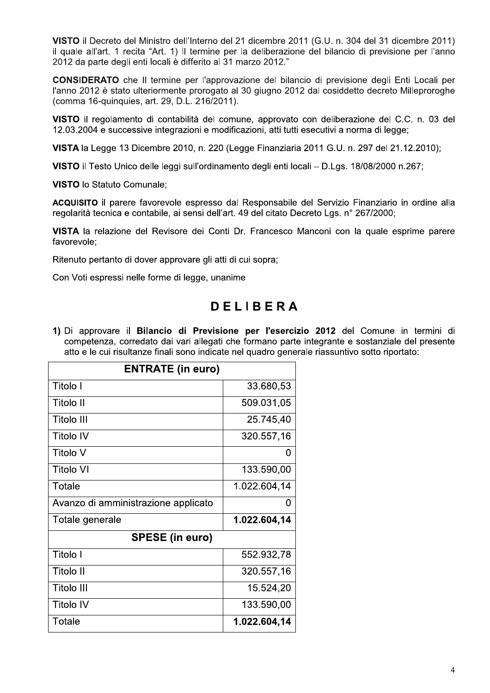VISTO il Decreto del Ministro dell'Interno del 21 dicembre 2011 (G.U. n. 304 del 31 dicembre 2011) il quale all'art. 1 recita "Art. 1) Il termine per la deliberazione del bilancio di previsione per l'anno 2012 da parte degli enti locali è differito al 31 marzo 2012."

**CONSIDERATO** che Il termine per l'approvazione del bilancio di previsione degli Enti Locali per l'anno 2012 è stato ulteriormente prorogato al 30 giugno 2012 dal cosiddetto decreto Milleproroghe (comma 16-quinquies, art. 29, D.L. 216/2011).

VISTO il regolamento di contabilità del comune, approvato con deliberazione del C.C. n. 03 del 12.03.2004 e successive integrazioni e modificazioni, atti tutti esecutivi a norma di legge;

VISTA la Legge 13 Dicembre 2010, n. 220 (Legge Finanziaria 2011 G.U. n. 297 del 21.12.2010);

VISTO il Testo Unico delle leggi sull'ordinamento degli enti locali - D.Lgs. 18/08/2000 n.267;

**VISTO** lo Statuto Comunale;

ACQUISITO il parere favorevole espresso dal Responsabile del Servizio Finanziario in ordine alla regolarità tecnica e contabile, ai sensi dell'art. 49 del citato Decreto Lgs. n° 267/2000;

VISTA la relazione del Revisore dei Conti Dr. Francesco Manconi con la quale esprime parere favorevole:

Ritenuto pertanto di dover approvare gli atti di cui sopra;

Con Voti espressi nelle forme di legge, unanime

# **DELIBERA**

1) Di approvare il Bilancio di Previsione per l'esercizio 2012 del Comune in termini di competenza, corredato dai vari allegati che formano parte integrante e sostanziale del presente atto e le cui risultanze finali sono indicate nel quadro generale riassuntivo sotto riportato:

| <b>ENTRATE (in euro)</b>            |              |  |
|-------------------------------------|--------------|--|
| Titolo I                            | 33.680,53    |  |
| Titolo II                           | 509.031,05   |  |
| Titolo III                          | 25.745,40    |  |
| <b>Titolo IV</b>                    | 320.557,16   |  |
| <b>Titolo V</b>                     | 0            |  |
| <b>Titolo VI</b>                    | 133.590,00   |  |
| Totale                              | 1.022.604,14 |  |
| Avanzo di amministrazione applicato | 0            |  |
| Totale generale                     | 1.022.604,14 |  |
| <b>SPESE (in euro)</b>              |              |  |
| Titolo I                            | 552.932,78   |  |
| Titolo II                           | 320.557,16   |  |
| Titolo III                          | 15.524,20    |  |
| <b>Titolo IV</b>                    | 133.590,00   |  |
| Totale                              | 1.022.604,14 |  |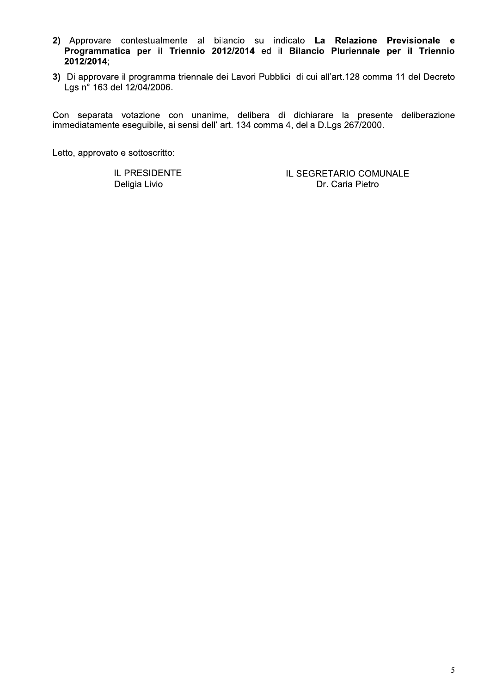- 2) Approvare contestualmente al bilancio su indicato La Relazione Previsionale e Programmatica per il Triennio 2012/2014 ed il Bilancio Pluriennale per il Triennio 2012/2014;
- 3) Di approvare il programma triennale dei Lavori Pubblici di cui all'art.128 comma 11 del Decreto Lgs n° 163 del 12/04/2006.

Con separata votazione con unanime, delibera di dichiarare la presente deliberazione immediatamente eseguibile, ai sensi dell' art. 134 comma 4, della D.Lgs 267/2000.

Letto, approvato e sottoscritto:

IL PRESIDENTE Deligia Livio

IL SEGRETARIO COMUNALE Dr. Caria Pietro